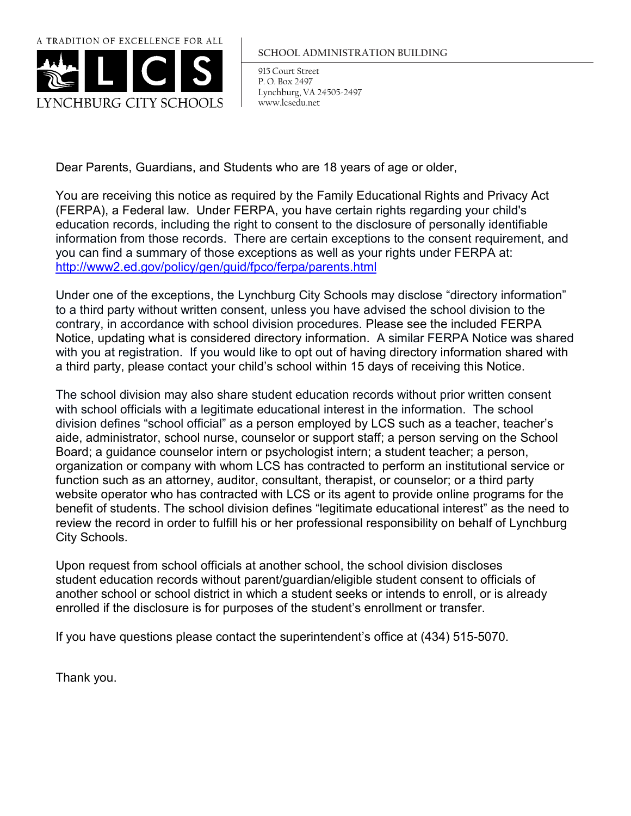

## **SCHOOL ADMINISTRATION BUILDING**

915 Court Street P. O. Box 2497 Lynchburg, VA 24505-2497 www.lcsedu.net

Dear Parents, Guardians, and Students who are 18 years of age or older,

You are receiving this notice as required by the Family Educational Rights and Privacy Act (FERPA), a Federal law. Under FERPA, you have certain rights regarding your child's education records, including the right to consent to the disclosure of personally identifiable information from those records. There are certain exceptions to the consent requirement, and you can find a summary of those exceptions as well as your rights under FERPA at: <http://www2.ed.gov/policy/gen/guid/fpco/ferpa/parents.html>

Under one of the exceptions, the Lynchburg City Schools may disclose "directory information" to a third party without written consent, unless you have advised the school division to the contrary, in accordance with school division procedures. Please see the included FERPA Notice, updating what is considered directory information. A similar FERPA Notice was shared with you at registration. If you would like to opt out of having directory information shared with a third party, please contact your child's school within 15 days of receiving this Notice.

The school division may also share student education records without prior written consent with school officials with a legitimate educational interest in the information. The school division defines "school official" as a person employed by LCS such as a teacher, teacher's aide, administrator, school nurse, counselor or support staff; a person serving on the School Board; a guidance counselor intern or psychologist intern; a student teacher; a person, organization or company with whom LCS has contracted to perform an institutional service or function such as an attorney, auditor, consultant, therapist, or counselor; or a third party website operator who has contracted with LCS or its agent to provide online programs for the benefit of students. The school division defines "legitimate educational interest" as the need to review the record in order to fulfill his or her professional responsibility on behalf of Lynchburg City Schools.

Upon request from school officials at another school, the school division discloses student education records without parent/guardian/eligible student consent to officials of another school or school district in which a student seeks or intends to enroll, or is already enrolled if the disclosure is for purposes of the student's enrollment or transfer.

If you have questions please contact the superintendent's office at (434) 515-5070.

Thank you.